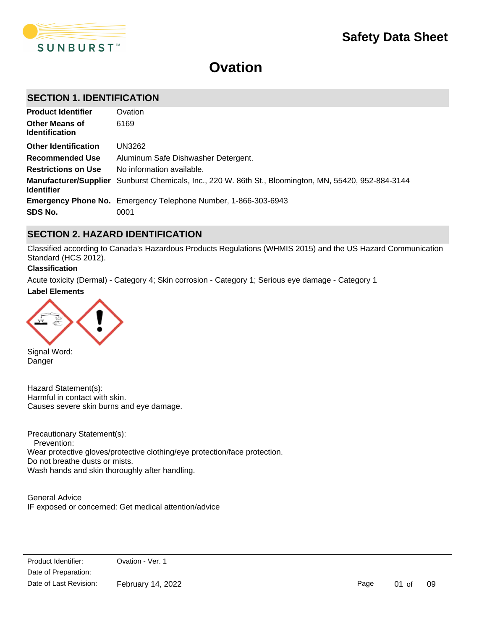

# **Ovation**

# **SECTION 1. IDENTIFICATION**

| <b>Product Identifier</b>                      | Ovation                                                                                                      |
|------------------------------------------------|--------------------------------------------------------------------------------------------------------------|
| <b>Other Means of</b><br><b>Identification</b> | 6169                                                                                                         |
| <b>Other Identification</b>                    | UN3262                                                                                                       |
| <b>Recommended Use</b>                         | Aluminum Safe Dishwasher Detergent.                                                                          |
| <b>Restrictions on Use</b>                     | No information available.                                                                                    |
| <b>Identifier</b>                              | <b>Manufacturer/Supplier</b> Sunburst Chemicals, Inc., 220 W. 86th St., Bloomington, MN, 55420, 952-884-3144 |
|                                                | <b>Emergency Phone No.</b> Emergency Telephone Number, 1-866-303-6943                                        |
| SDS No.                                        | 0001                                                                                                         |

# **SECTION 2. HAZARD IDENTIFICATION**

Classified according to Canada's Hazardous Products Regulations (WHMIS 2015) and the US Hazard Communication Standard (HCS 2012).

#### **Classification**

**Label Elements** Acute toxicity (Dermal) - Category 4; Skin corrosion - Category 1; Serious eye damage - Category 1



Signal Word: Danger

Hazard Statement(s): Harmful in contact with skin. Causes severe skin burns and eye damage.

Precautionary Statement(s): Prevention: Wear protective gloves/protective clothing/eye protection/face protection. Do not breathe dusts or mists. Wash hands and skin thoroughly after handling.

General Advice IF exposed or concerned: Get medical attention/advice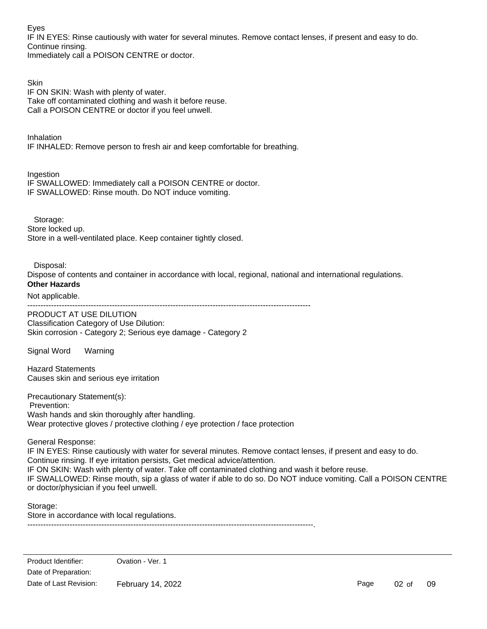Eyes

IF IN EYES: Rinse cautiously with water for several minutes. Remove contact lenses, if present and easy to do. Continue rinsing.

Immediately call a POISON CENTRE or doctor.

**Skin** IF ON SKIN: Wash with plenty of water. Take off contaminated clothing and wash it before reuse. Call a POISON CENTRE or doctor if you feel unwell.

Inhalation IF INHALED: Remove person to fresh air and keep comfortable for breathing.

Ingestion

IF SWALLOWED: Immediately call a POISON CENTRE or doctor. IF SWALLOWED: Rinse mouth. Do NOT induce vomiting.

Storage: Store locked up. Store in a well-ventilated place. Keep container tightly closed.

Disposal:

Dispose of contents and container in accordance with local, regional, national and international regulations.

# **Other Hazards**

Not applicable.

-----------------------------------------------------------------------------------------------------------

PRODUCT AT USE DILUTION Classification Category of Use Dilution: Skin corrosion - Category 2; Serious eye damage - Category 2

Signal Word Warning

Hazard Statements Causes skin and serious eye irritation

Precautionary Statement(s):

 Prevention: Wash hands and skin thoroughly after handling. Wear protective gloves / protective clothing / eye protection / face protection

General Response:

IF IN EYES: Rinse cautiously with water for several minutes. Remove contact lenses, if present and easy to do. Continue rinsing. If eye irritation persists, Get medical advice/attention. IF ON SKIN: Wash with plenty of water. Take off contaminated clothing and wash it before reuse. IF SWALLOWED: Rinse mouth, sip a glass of water if able to do so. Do NOT induce vomiting. Call a POISON CENTRE or doctor/physician if you feel unwell.

Storage: Store in accordance with local regulations.

------------------------------------------------------------------------------------------------------------.

Page 02 of 09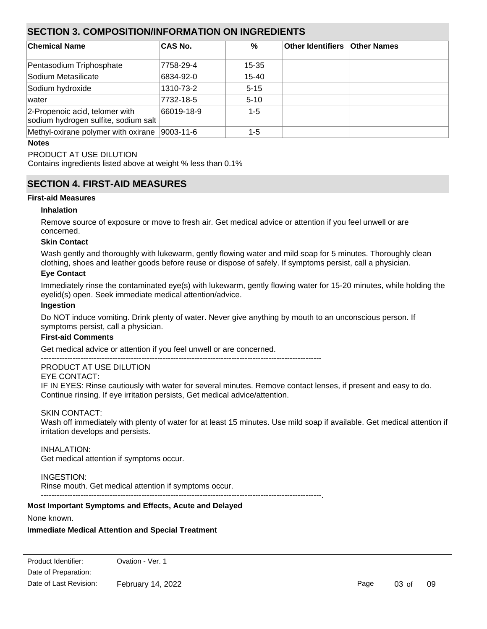# **SECTION 3. COMPOSITION/INFORMATION ON INGREDIENTS**

| <b>Chemical Name</b>                                                   | <b>CAS No.</b> | %         | Other Identifiers Other Names |  |
|------------------------------------------------------------------------|----------------|-----------|-------------------------------|--|
| Pentasodium Triphosphate                                               | 7758-29-4      | 15-35     |                               |  |
| Sodium Metasilicate                                                    | 6834-92-0      | $15 - 40$ |                               |  |
| Sodium hydroxide                                                       | 1310-73-2      | $5 - 15$  |                               |  |
| water                                                                  | 7732-18-5      | $5 - 10$  |                               |  |
| 2-Propenoic acid, telomer with<br>sodium hydrogen sulfite, sodium salt | 66019-18-9     | $1 - 5$   |                               |  |
| Methyl-oxirane polymer with oxirane 9003-11-6                          |                | $1 - 5$   |                               |  |

### **Notes**

PRODUCT AT USE DILUTION

Contains ingredients listed above at weight % less than 0.1%

# **SECTION 4. FIRST-AID MEASURES**

### **First-aid Measures**

# **Inhalation**

Remove source of exposure or move to fresh air. Get medical advice or attention if you feel unwell or are concerned.

# **Skin Contact**

Wash gently and thoroughly with lukewarm, gently flowing water and mild soap for 5 minutes. Thoroughly clean clothing, shoes and leather goods before reuse or dispose of safely. If symptoms persist, call a physician.

### **Eye Contact**

Immediately rinse the contaminated eye(s) with lukewarm, gently flowing water for 15-20 minutes, while holding the eyelid(s) open. Seek immediate medical attention/advice.

### **Ingestion**

Do NOT induce vomiting. Drink plenty of water. Never give anything by mouth to an unconscious person. If symptoms persist, call a physician.

# **First-aid Comments**

Get medical advice or attention if you feel unwell or are concerned.

----------------------------------------------------------------------------------------------------------

#### PRODUCT AT USE DILUTION

EYE CONTACT:

IF IN EYES: Rinse cautiously with water for several minutes. Remove contact lenses, if present and easy to do. Continue rinsing. If eye irritation persists, Get medical advice/attention.

# SKIN CONTACT:

Wash off immediately with plenty of water for at least 15 minutes. Use mild soap if available. Get medical attention if irritation develops and persists.

# INHALATION:

Get medical attention if symptoms occur.

# INGESTION:

Rinse mouth. Get medical attention if symptoms occur. ----------------------------------------------------------------------------------------------------------.

# **Most Important Symptoms and Effects, Acute and Delayed**

None known.

# **Immediate Medical Attention and Special Treatment**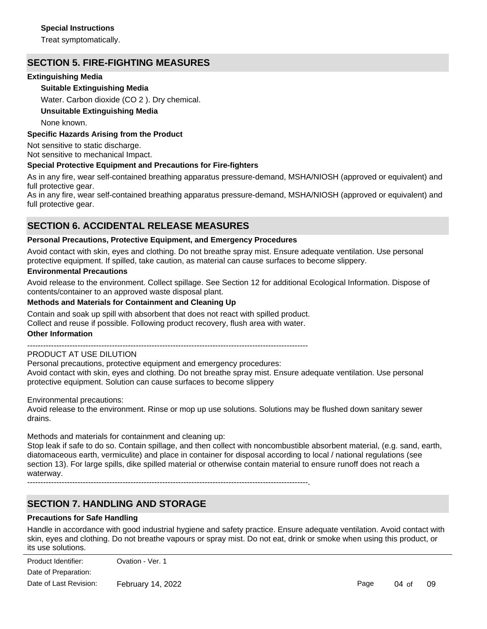### **Special Instructions**

Treat symptomatically.

# **SECTION 5. FIRE-FIGHTING MEASURES**

# **Extinguishing Media**

# **Suitable Extinguishing Media**

Water. Carbon dioxide (CO 2 ). Dry chemical.

### **Unsuitable Extinguishing Media**

None known.

### **Specific Hazards Arising from the Product**

Not sensitive to static discharge. Not sensitive to mechanical Impact.

### **Special Protective Equipment and Precautions for Fire-fighters**

As in any fire, wear self-contained breathing apparatus pressure-demand, MSHA/NIOSH (approved or equivalent) and full protective gear.

As in any fire, wear self-contained breathing apparatus pressure-demand, MSHA/NIOSH (approved or equivalent) and full protective gear.

# **SECTION 6. ACCIDENTAL RELEASE MEASURES**

### **Personal Precautions, Protective Equipment, and Emergency Procedures**

Avoid contact with skin, eyes and clothing. Do not breathe spray mist. Ensure adequate ventilation. Use personal protective equipment. If spilled, take caution, as material can cause surfaces to become slippery.

#### **Environmental Precautions**

Avoid release to the environment. Collect spillage. See Section 12 for additional Ecological Information. Dispose of contents/container to an approved waste disposal plant.

### **Methods and Materials for Containment and Cleaning Up**

Contain and soak up spill with absorbent that does not react with spilled product. Collect and reuse if possible. Following product recovery, flush area with water.

#### **Other Information**

----------------------------------------------------------------------------------------------------------

# PRODUCT AT USE DILUTION

Personal precautions, protective equipment and emergency procedures: Avoid contact with skin, eyes and clothing. Do not breathe spray mist. Ensure adequate ventilation. Use personal protective equipment. Solution can cause surfaces to become slippery

Environmental precautions:

Avoid release to the environment. Rinse or mop up use solutions. Solutions may be flushed down sanitary sewer drains.

Methods and materials for containment and cleaning up:

Stop leak if safe to do so. Contain spillage, and then collect with noncombustible absorbent material, (e.g. sand, earth, diatomaceous earth, vermiculite) and place in container for disposal according to local / national regulations (see section 13). For large spills, dike spilled material or otherwise contain material to ensure runoff does not reach a waterway.

----------------------------------------------------------------------------------------------------------.

# **SECTION 7. HANDLING AND STORAGE**

#### **Precautions for Safe Handling**

Handle in accordance with good industrial hygiene and safety practice. Ensure adequate ventilation. Avoid contact with skin, eyes and clothing. Do not breathe vapours or spray mist. Do not eat, drink or smoke when using this product, or its use solutions.

Date of Preparation: Product Identifier: Ovation - Ver. 1 Date of Last Revision: February 14, 2022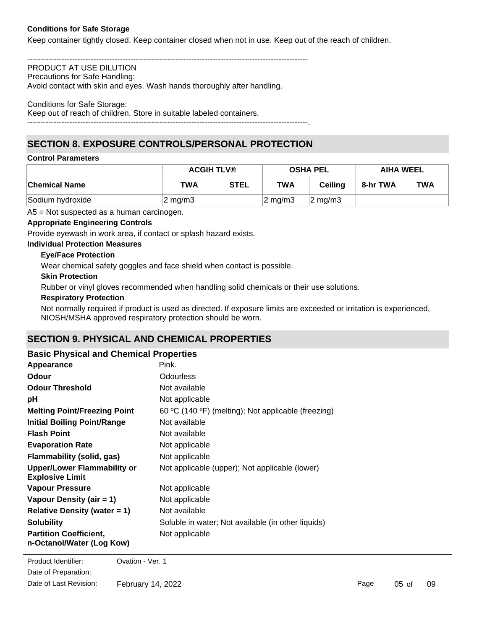# **Conditions for Safe Storage**

Keep container tightly closed. Keep container closed when not in use. Keep out of the reach of children.

----------------------------------------------------------------------------------------------------------

#### PRODUCT AT USE DILUTION Precautions for Safe Handling:

Avoid contact with skin and eyes. Wash hands thoroughly after handling.

#### Conditions for Safe Storage:

Keep out of reach of children. Store in suitable labeled containers.

----------------------------------------------------------------------------------------------------------.

# **SECTION 8. EXPOSURE CONTROLS/PERSONAL PROTECTION**

#### **Control Parameters**

|                      | <b>ACGIH TLV®</b>  |             | <b>OSHA PEL</b>     |                     | <b>AIHA WEEL</b> |            |
|----------------------|--------------------|-------------|---------------------|---------------------|------------------|------------|
| <b>Chemical Name</b> | TWA                | <b>STEL</b> | TWA                 | Ceilina             | 8-hr TWA         | <b>TWA</b> |
| Sodium hydroxide     | $2 \text{ mg/m}$ 3 |             | $ 2 \text{ mg/m}$ 3 | $ 2 \text{ mg/m3} $ |                  |            |

A5 = Not suspected as a human carcinogen.

### **Appropriate Engineering Controls**

Provide eyewash in work area, if contact or splash hazard exists.

#### **Individual Protection Measures**

#### **Eye/Face Protection**

Wear chemical safety goggles and face shield when contact is possible.

#### **Skin Protection**

Rubber or vinyl gloves recommended when handling solid chemicals or their use solutions.

#### **Respiratory Protection**

Not normally required if product is used as directed. If exposure limits are exceeded or irritation is experienced, NIOSH/MSHA approved respiratory protection should be worn.

# **SECTION 9. PHYSICAL AND CHEMICAL PROPERTIES**

### **Basic Physical and Chemical Properties**

| Appearance                                                   | Pink.                                               |
|--------------------------------------------------------------|-----------------------------------------------------|
| <b>Odour</b>                                                 | Odourless                                           |
| <b>Odour Threshold</b>                                       | Not available                                       |
| рH                                                           | Not applicable                                      |
| <b>Melting Point/Freezing Point</b>                          | 60 °C (140 °F) (melting); Not applicable (freezing) |
| <b>Initial Boiling Point/Range</b>                           | Not available                                       |
| <b>Flash Point</b>                                           | Not available                                       |
| <b>Evaporation Rate</b>                                      | Not applicable                                      |
| <b>Flammability (solid, gas)</b>                             | Not applicable                                      |
| <b>Upper/Lower Flammability or</b><br><b>Explosive Limit</b> | Not applicable (upper); Not applicable (lower)      |
| Vapour Pressure                                              | Not applicable                                      |
| Vapour Density (air = 1)                                     | Not applicable                                      |
| Relative Density (water $= 1$ )                              | Not available                                       |
| <b>Solubility</b>                                            | Soluble in water; Not available (in other liquids)  |
| <b>Partition Coefficient,</b><br>n-Octanol/Water (Log Kow)   | Not applicable                                      |

**Product Identifier:** Ovation - Ver. 1 Date of Preparation: Date of Last Revision: February 14, 2022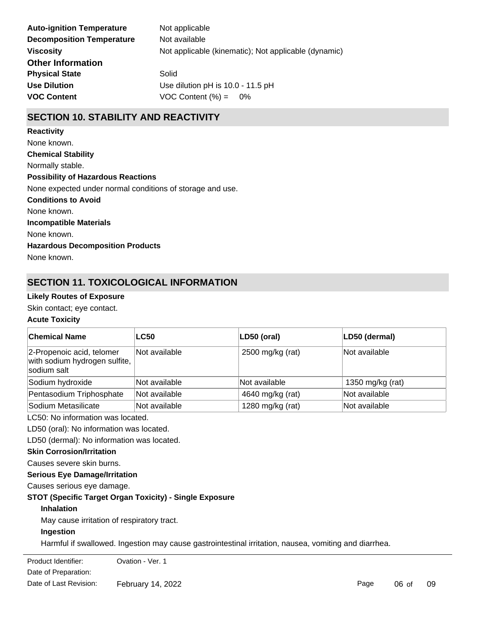| Not applicable                                       |
|------------------------------------------------------|
| Not available                                        |
| Not applicable (kinematic); Not applicable (dynamic) |
|                                                      |
| Solid                                                |
| Use dilution pH is 10.0 - 11.5 pH                    |
| VOC Content $(\% ) = 0\%$                            |
|                                                      |

# **SECTION 10. STABILITY AND REACTIVITY**

**Chemical Stability** Normally stable. **Conditions to Avoid** None known. **Incompatible Materials** None known. **Hazardous Decomposition Products** None known. **Possibility of Hazardous Reactions** None expected under normal conditions of storage and use. **Reactivity** None known.

# **SECTION 11. TOXICOLOGICAL INFORMATION**

# **Likely Routes of Exposure**

Skin contact; eye contact.

# **Acute Toxicity**

| <b>Chemical Name</b>                                                      | <b>LC50</b>   | LD50 (oral)      | LD50 (dermal)    |
|---------------------------------------------------------------------------|---------------|------------------|------------------|
| 2-Propenoic acid, telomer<br>with sodium hydrogen sulfite,<br>sodium salt | Not available | 2500 mg/kg (rat) | Not available    |
| Sodium hydroxide                                                          | Not available | Not available    | 1350 mg/kg (rat) |
| Pentasodium Triphosphate                                                  | Not available | 4640 mg/kg (rat) | Not available    |
| Sodium Metasilicate                                                       | Not available | 1280 mg/kg (rat) | Not available    |

LC50: No information was located.

LD50 (oral): No information was located.

LD50 (dermal): No information was located.

### **Skin Corrosion/Irritation**

Causes severe skin burns.

#### **Serious Eye Damage/Irritation**

Causes serious eye damage.

# **STOT (Specific Target Organ Toxicity) - Single Exposure**

# **Inhalation**

May cause irritation of respiratory tract.

### **Ingestion**

Harmful if swallowed. Ingestion may cause gastrointestinal irritation, nausea, vomiting and diarrhea.

Product Identifier: **Collection Collection** Date of Preparation: Date of Last Revision: February 14, 2022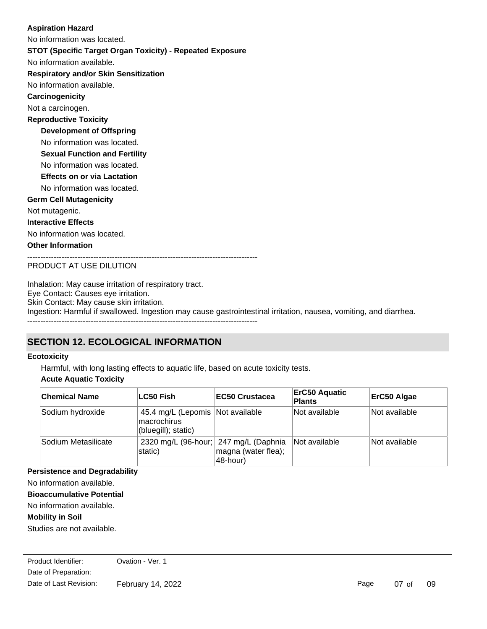# No information available. **STOT (Specific Target Organ Toxicity) - Repeated Exposure Respiratory and/or Skin Sensitization** No information available. **Carcinogenicity** Not a carcinogen. **Development of Offspring** No information was located. **Reproductive Toxicity** No information was located. **Germ Cell Mutagenicity** Not mutagenic. **Interactive Effects** No information was located. **Other Information** --------------------------------------------------------------------------------------- **Sexual Function and Fertility Effects on or via Lactation** No information was located. No information was located. **Aspiration Hazard**

PRODUCT AT USE DILUTION

Inhalation: May cause irritation of respiratory tract. Eye Contact: Causes eye irritation. Skin Contact: May cause skin irritation. Ingestion: Harmful if swallowed. Ingestion may cause gastrointestinal irritation, nausea, vomiting, and diarrhea. ---------------------------------------------------------------------------------------

# **SECTION 12. ECOLOGICAL INFORMATION**

# **Ecotoxicity**

Harmful, with long lasting effects to aquatic life, based on acute toxicity tests.

# **Acute Aquatic Toxicity**

| <b>Chemical Name</b> | ∣LC50 Fish                                                              | <b>IEC50 Crustacea</b>                                                   | <b>ErC50 Aquatic</b><br><b>Plants</b> | ErC50 Algae   |
|----------------------|-------------------------------------------------------------------------|--------------------------------------------------------------------------|---------------------------------------|---------------|
| Sodium hydroxide     | 45.4 mg/L (Lepomis Not available<br>lmacrochirus<br>(bluegill); static) |                                                                          | Not available                         | Not available |
| Sodium Metasilicate  | static)                                                                 | 2320 mg/L (96-hour; 247 mg/L (Daphnia<br>magna (water flea);<br>48-hour) | Not available                         | Not available |

**Persistence and Degradability**

No information available.

**Bioaccumulative Potential**

No information available.

# **Mobility in Soil**

Studies are not available.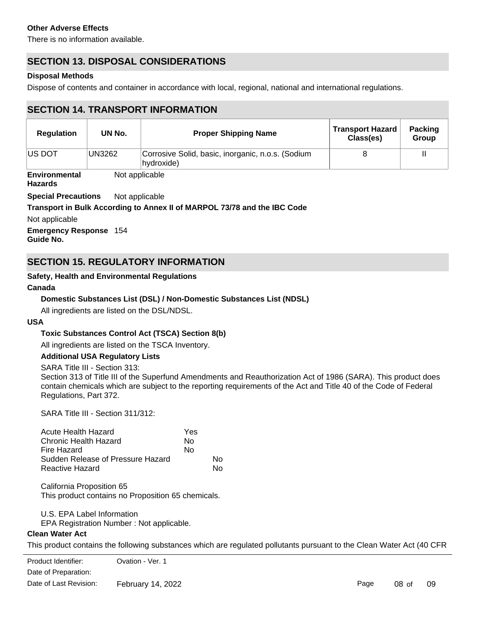# **Other Adverse Effects**

There is no information available.

# **SECTION 13. DISPOSAL CONSIDERATIONS**

# **Disposal Methods**

Dispose of contents and container in accordance with local, regional, national and international regulations.

# **SECTION 14. TRANSPORT INFORMATION**

| <b>Regulation</b> | UN No. | <b>Proper Shipping Name</b>                                     | <b>Transport Hazard</b><br>Class(es) | <b>Packing</b><br><b>Group</b> |
|-------------------|--------|-----------------------------------------------------------------|--------------------------------------|--------------------------------|
| <b>IUS DOT</b>    | UN3262 | Corrosive Solid, basic, inorganic, n.o.s. (Sodium<br>hydroxide) |                                      |                                |

**Environmental** Not applicable

**Hazards**

**Special Precautions** Not applicable

# **Transport in Bulk According to Annex II of MARPOL 73/78 and the IBC Code**

Not applicable

**Emergency Response** 154

**Guide No.**

# **SECTION 15. REGULATORY INFORMATION**

# **Safety, Health and Environmental Regulations**

### **Canada**

# **Domestic Substances List (DSL) / Non-Domestic Substances List (NDSL)**

All ingredients are listed on the DSL/NDSL.

#### **USA**

# **Toxic Substances Control Act (TSCA) Section 8(b)**

All ingredients are listed on the TSCA Inventory.

# **Additional USA Regulatory Lists**

SARA Title III - Section 313:

Section 313 of Title III of the Superfund Amendments and Reauthorization Act of 1986 (SARA). This product does contain chemicals which are subject to the reporting requirements of the Act and Title 40 of the Code of Federal Regulations, Part 372.

SARA Title III - Section 311/312:

| Acute Health Hazard               | Yes |    |
|-----------------------------------|-----|----|
| Chronic Health Hazard             | N٥  |    |
| Fire Hazard                       | No  |    |
| Sudden Release of Pressure Hazard |     | N٥ |
| <b>Reactive Hazard</b>            |     | N٥ |

California Proposition 65 This product contains no Proposition 65 chemicals.

U.S. EPA Label Information

122.21 and 40 CFR 122.42):

EPA Registration Number : Not applicable.

# **Clean Water Act**

This product contains the following substances which are regulated pollutants pursuant to the Clean Water Act (40 CFR